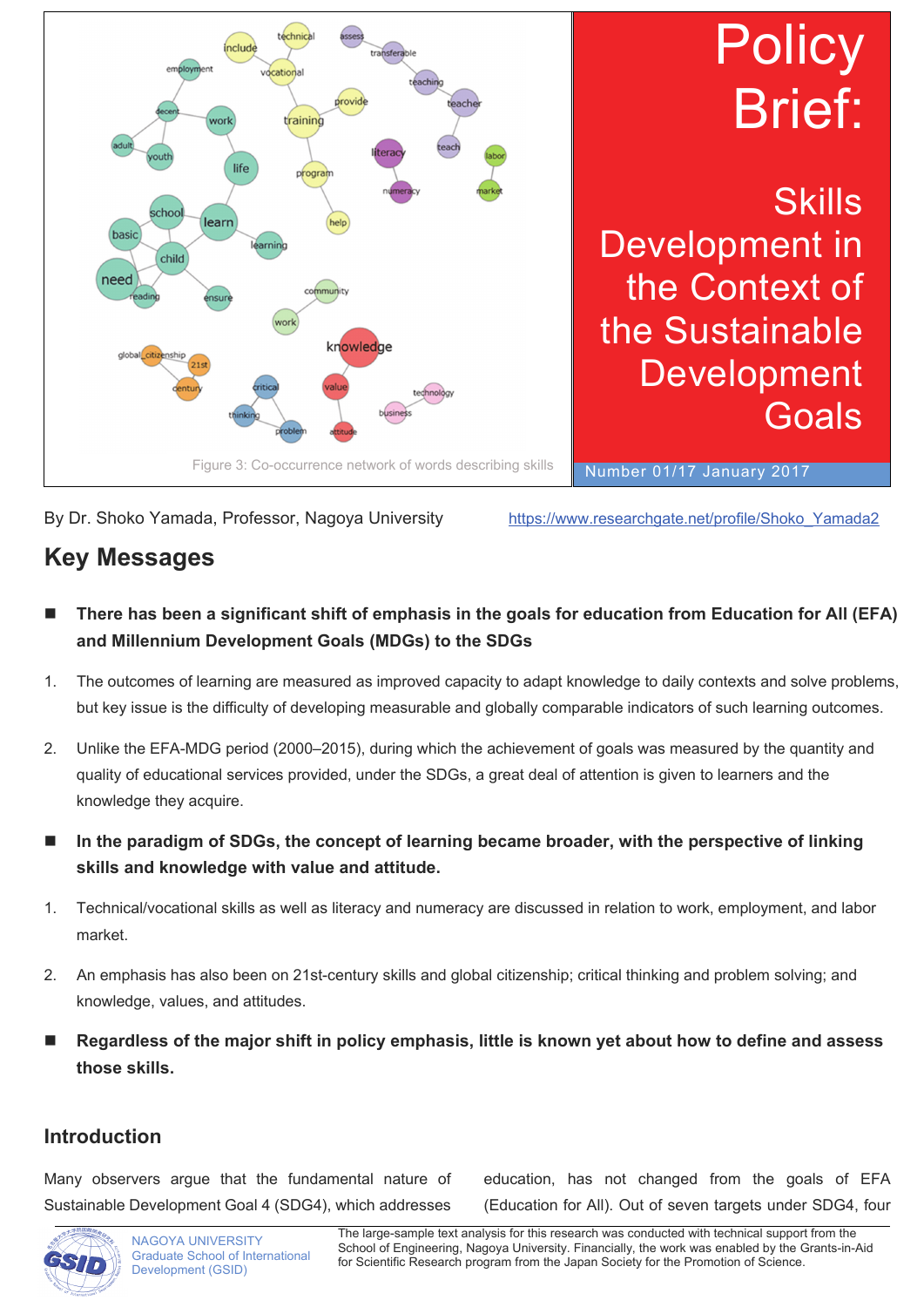

# **Policy** Brief:

**Skills** Development in the Context of the Sustainable Development Goals

Number 01/17 January 2017

By Dr. Shoko Yamada, Professor, Nagoya University https://www.researchgate.net/profile/Shoko\_Yamada2

# **Key Messages**

- **There has been a significant shift of emphasis in the goals for education from Education for All (EFA) and Millennium Development Goals (MDGs) to the SDGs**
- 1. The outcomes of learning are measured as improved capacity to adapt knowledge to daily contexts and solve problems, but key issue is the difficulty of developing measurable and globally comparable indicators of such learning outcomes.
- 2. Unlike the EFA-MDG period (2000–2015), during which the achievement of goals was measured by the quantity and quality of educational services provided, under the SDGs, a great deal of attention is given to learners and the knowledge they acquire.
- **In the paradigm of SDGs, the concept of learning became broader, with the perspective of linking skills and knowledge with value and attitude.**
- 1. Technical/vocational skills as well as literacy and numeracy are discussed in relation to work, employment, and labor market.
- 2. An emphasis has also been on 21st-century skills and global citizenship; critical thinking and problem solving; and knowledge, values, and attitudes.
- **Regardless of the major shift in policy emphasis, little is known yet about how to define and assess those skills.**

# **Introduction**

Many observers argue that the fundamental nature of Sustainable Development Goal 4 (SDG4), which addresses

education, has not changed from the goals of EFA (Education for All). Out of seven targets under SDG4, four

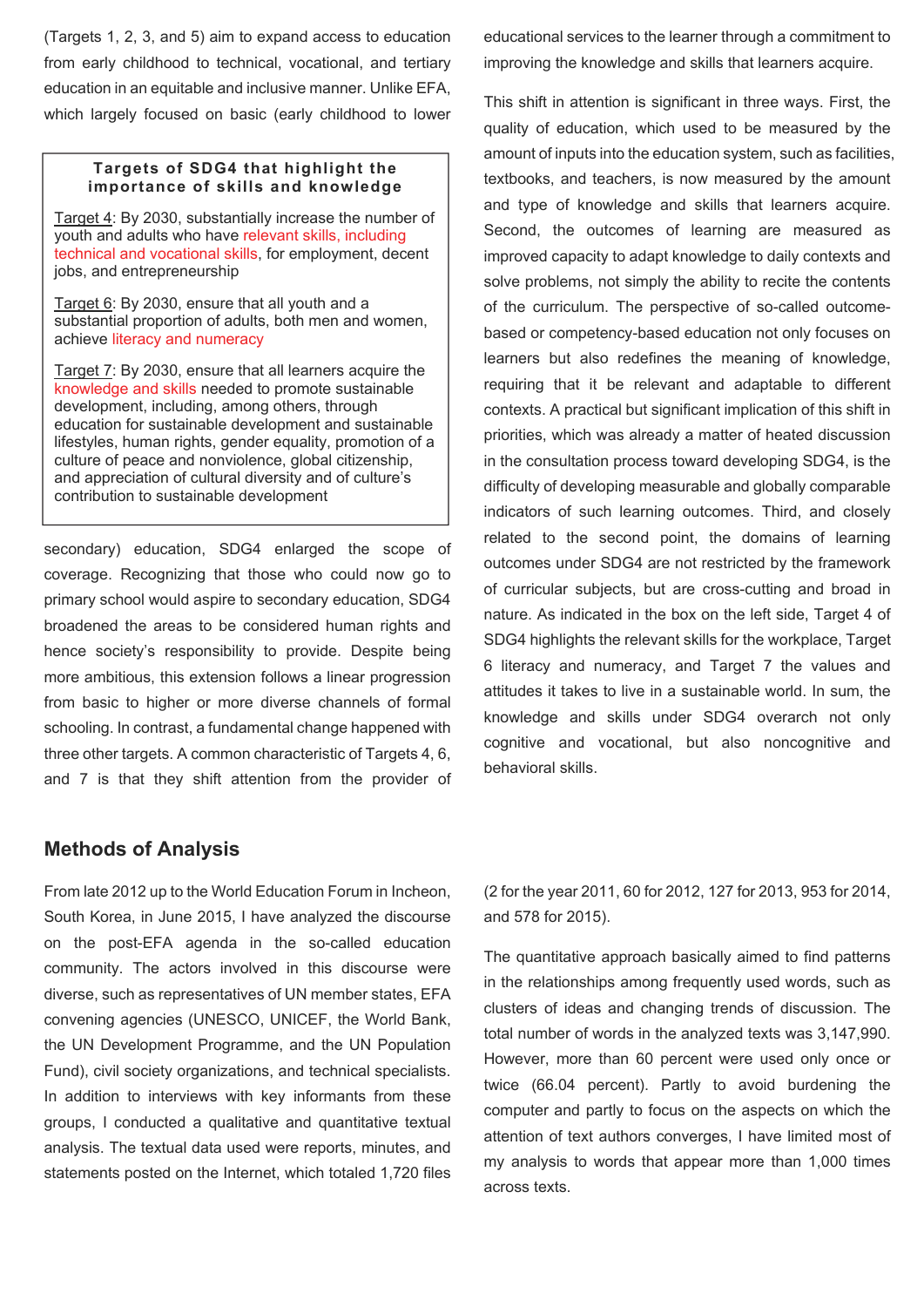(Targets 1, 2, 3, and 5) aim to expand access to education from early childhood to technical, vocational, and tertiary education in an equitable and inclusive manner. Unlike EFA, which largely focused on basic (early childhood to lower

#### **Targets of SDG4 that highlight the importance of skills and knowledge**

Target 4: By 2030, substantially increase the number of youth and adults who have relevant skills, including technical and vocational skills, for employment, decent jobs, and entrepreneurship

Target 6: By 2030, ensure that all youth and a substantial proportion of adults, both men and women, achieve literacy and numeracy

Target 7: By 2030, ensure that all learners acquire the knowledge and skills needed to promote sustainable development, including, among others, through education for sustainable development and sustainable lifestyles, human rights, gender equality, promotion of a culture of peace and nonviolence, global citizenship, and appreciation of cultural diversity and of culture's contribution to sustainable development

secondary) education, SDG4 enlarged the scope of coverage. Recognizing that those who could now go to primary school would aspire to secondary education, SDG4 broadened the areas to be considered human rights and hence society's responsibility to provide. Despite being more ambitious, this extension follows a linear progression from basic to higher or more diverse channels of formal schooling. In contrast, a fundamental change happened with three other targets. A common characteristic of Targets 4, 6, and 7 is that they shift attention from the provider of educational services to the learner through a commitment to improving the knowledge and skills that learners acquire.

This shift in attention is significant in three ways. First, the quality of education, which used to be measured by the amount of inputs into the education system, such as facilities, textbooks, and teachers, is now measured by the amount and type of knowledge and skills that learners acquire. Second, the outcomes of learning are measured as improved capacity to adapt knowledge to daily contexts and solve problems, not simply the ability to recite the contents of the curriculum. The perspective of so-called outcomebased or competency-based education not only focuses on learners but also redefines the meaning of knowledge, requiring that it be relevant and adaptable to different contexts. A practical but significant implication of this shift in priorities, which was already a matter of heated discussion in the consultation process toward developing SDG4, is the difficulty of developing measurable and globally comparable indicators of such learning outcomes. Third, and closely related to the second point, the domains of learning outcomes under SDG4 are not restricted by the framework of curricular subjects, but are cross-cutting and broad in nature. As indicated in the box on the left side, Target 4 of SDG4 highlights the relevant skills for the workplace, Target 6 literacy and numeracy, and Target 7 the values and attitudes it takes to live in a sustainable world. In sum, the knowledge and skills under SDG4 overarch not only cognitive and vocational, but also noncognitive and behavioral skills.

## **Methods of Analysis**

From late 2012 up to the World Education Forum in Incheon, South Korea, in June 2015, I have analyzed the discourse on the post-EFA agenda in the so-called education community. The actors involved in this discourse were diverse, such as representatives of UN member states, EFA convening agencies (UNESCO, UNICEF, the World Bank, the UN Development Programme, and the UN Population Fund), civil society organizations, and technical specialists. In addition to interviews with key informants from these groups, I conducted a qualitative and quantitative textual analysis. The textual data used were reports, minutes, and statements posted on the Internet, which totaled 1,720 files (2 for the year 2011, 60 for 2012, 127 for 2013, 953 for 2014, and 578 for 2015).

The quantitative approach basically aimed to find patterns in the relationships among frequently used words, such as clusters of ideas and changing trends of discussion. The total number of words in the analyzed texts was 3,147,990. However, more than 60 percent were used only once or twice (66.04 percent). Partly to avoid burdening the computer and partly to focus on the aspects on which the attention of text authors converges, I have limited most of my analysis to words that appear more than 1,000 times across texts.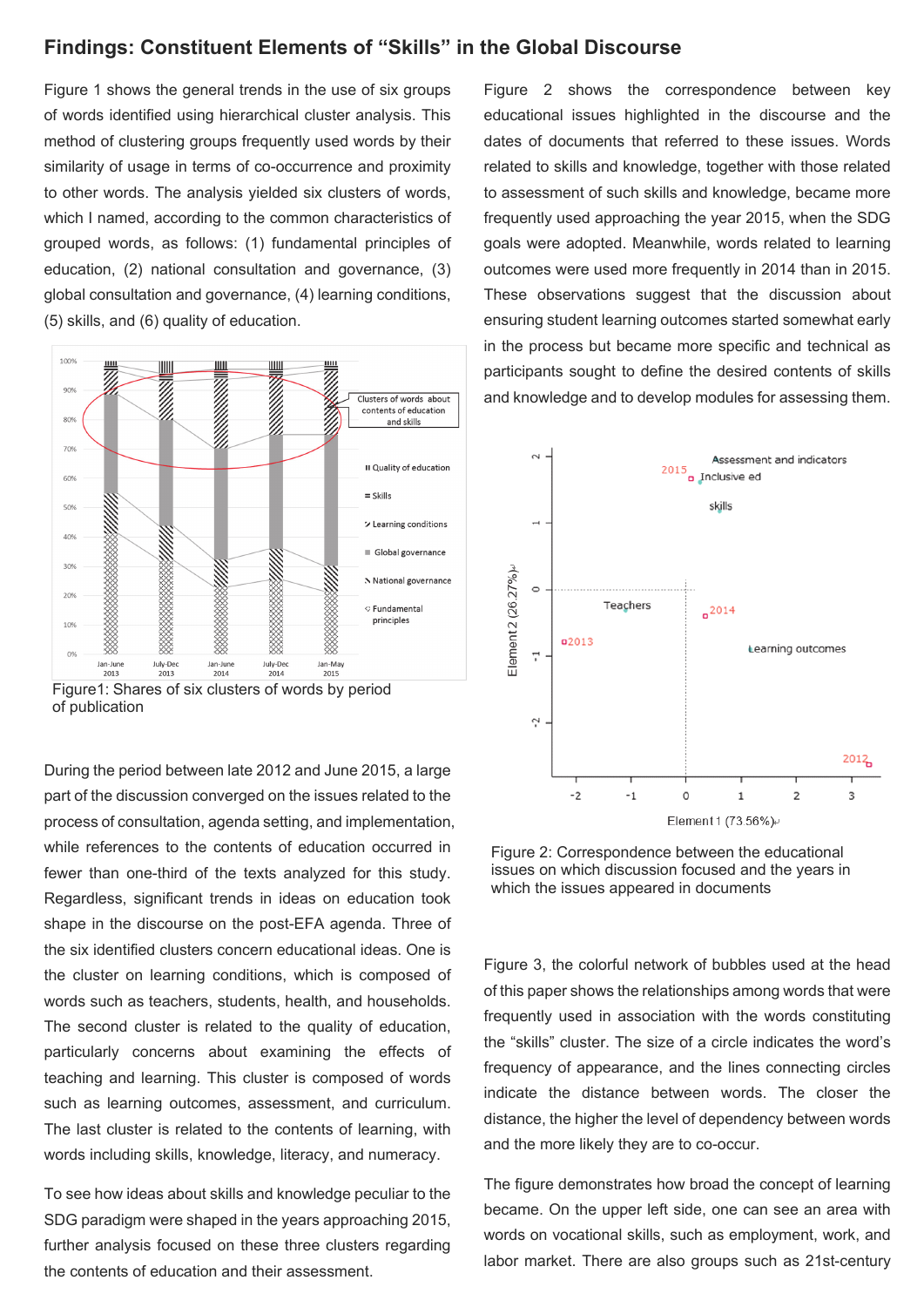### **Findings: Constituent Elements of "Skills" in the Global Discourse**

Figure 1 shows the general trends in the use of six groups of words identified using hierarchical cluster analysis. This method of clustering groups frequently used words by their similarity of usage in terms of co-occurrence and proximity to other words. The analysis yielded six clusters of words, which I named, according to the common characteristics of grouped words, as follows: (1) fundamental principles of education, (2) national consultation and governance, (3) global consultation and governance, (4) learning conditions, (5) skills, and (6) quality of education.



Figure1: Shares of six clusters of words by period of publication

During the period between late 2012 and June 2015, a large part of the discussion converged on the issues related to the process of consultation, agenda setting, and implementation, while references to the contents of education occurred in fewer than one-third of the texts analyzed for this study. Regardless, significant trends in ideas on education took shape in the discourse on the post-EFA agenda. Three of the six identified clusters concern educational ideas. One is the cluster on learning conditions, which is composed of words such as teachers, students, health, and households. The second cluster is related to the quality of education, particularly concerns about examining the effects of teaching and learning. This cluster is composed of words such as learning outcomes, assessment, and curriculum. The last cluster is related to the contents of learning, with words including skills, knowledge, literacy, and numeracy.

To see how ideas about skills and knowledge peculiar to the SDG paradigm were shaped in the years approaching 2015, further analysis focused on these three clusters regarding the contents of education and their assessment.

Figure 2 shows the correspondence between key educational issues highlighted in the discourse and the dates of documents that referred to these issues. Words related to skills and knowledge, together with those related to assessment of such skills and knowledge, became more frequently used approaching the year 2015, when the SDG goals were adopted. Meanwhile, words related to learning outcomes were used more frequently in 2014 than in 2015. These observations suggest that the discussion about ensuring student learning outcomes started somewhat early in the process but became more specific and technical as participants sought to define the desired contents of skills and knowledge and to develop modules for assessing them.



Figure 2: Correspondence between the educational issues on which discussion focused and the years in which the issues appeared in documents

Figure 3, the colorful network of bubbles used at the head of this paper shows the relationships among words that were frequently used in association with the words constituting the "skills" cluster. The size of a circle indicates the word's frequency of appearance, and the lines connecting circles indicate the distance between words. The closer the distance, the higher the level of dependency between words and the more likely they are to co-occur.

The figure demonstrates how broad the concept of learning became. On the upper left side, one can see an area with words on vocational skills, such as employment, work, and labor market. There are also groups such as 21st-century